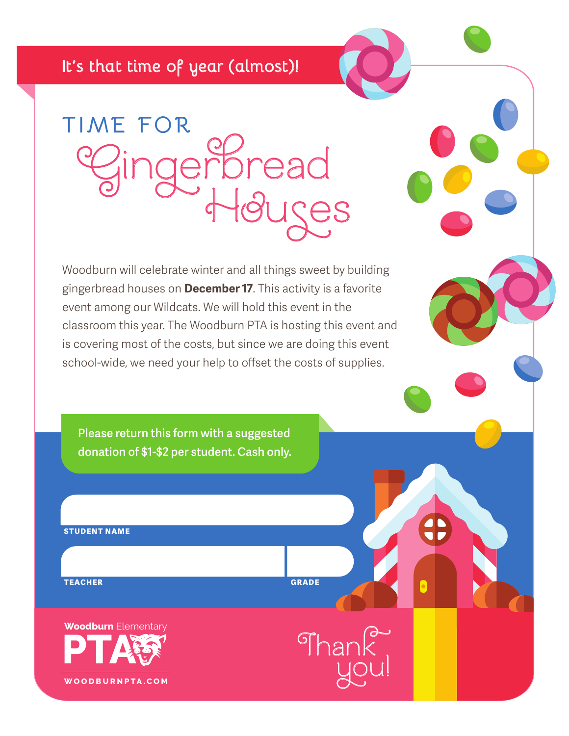## **It's that time of year (almost)!**

**TIME FOR Houses Gingerbread** 

Woodburn will celebrate winter and all things sweet by building gingerbread houses on **December 17**. This activity is a favorite event among our Wildcats. We will hold this event in the classroom this year. The Woodburn PTA is hosting this event and is covering most of the costs, but since we are doing this event school-wide, we need your help to offset the costs of supplies.

**Please return this form with a suggested donation of \$1-\$2 per student. Cash only.** 

**STUDENT NAME**

**TEACHER GRADE**

**Thank**

**you!**

**WOODBURNPTA.COM Woodburn** Elementary